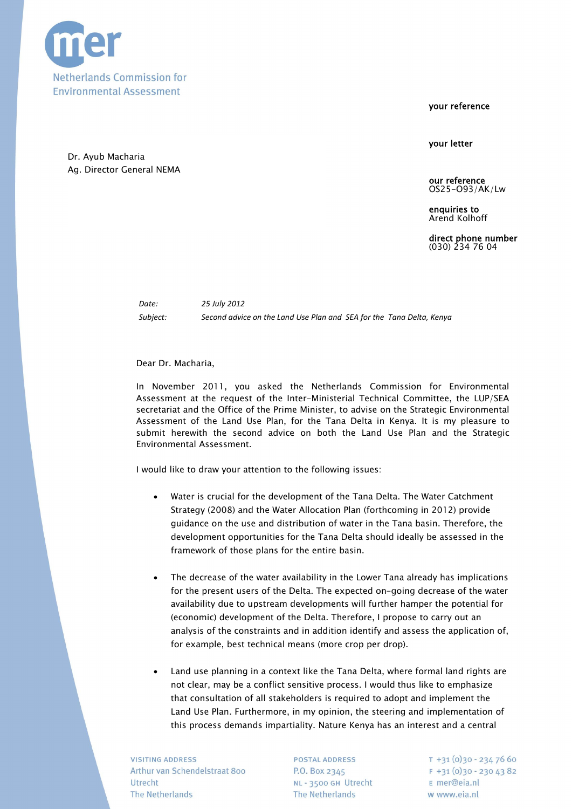

your reference

your letter

Dr. Ayub Macharia Ag. Director General NEMA

> our reference OS25-O93/AK/Lw

enquiries to Arend Kolhoff

direct phone number (030) 234 76 04

*Date: 25 July 2012 Subject: Second advice on the Land Use Plan and SEA for the Tana Delta, Kenya*

Dear Dr. Macharia,

In November 2011, you asked the Netherlands Commission for Environmental Assessment at the request of the Inter-Ministerial Technical Committee, the LUP/SEA secretariat and the Office of the Prime Minister, to advise on the Strategic Environmental Assessment of the Land Use Plan, for the Tana Delta in Kenya. It is my pleasure to submit herewith the second advice on both the Land Use Plan and the Strategic Environmental Assessment.

I would like to draw your attention to the following issues:

- · Water is crucial for the development of the Tana Delta. The Water Catchment Strategy (2008) and the Water Allocation Plan (forthcoming in 2012) provide guidance on the use and distribution of water in the Tana basin. Therefore, the development opportunities for the Tana Delta should ideally be assessed in the framework of those plans for the entire basin.
- The decrease of the water availability in the Lower Tana already has implications for the present users of the Delta. The expected on-going decrease of the water availability due to upstream developments will further hamper the potential for (economic) development of the Delta. Therefore, I propose to carry out an analysis of the constraints and in addition identify and assess the application of, for example, best technical means (more crop per drop).
- Land use planning in a context like the Tana Delta, where formal land rights are not clear, may be a conflict sensitive process. I would thus like to emphasize that consultation of all stakeholders is required to adopt and implement the Land Use Plan. Furthermore, in my opinion, the steering and implementation of this process demands impartiality. Nature Kenya has an interest and a central

**VISITING ADDRESS** Arthur van Schendelstraat 800 Utrecht **The Netherlands** 

**POSTAL ADDRESS** P.O. Box 2345 NL - 3500 GH Utrecht The Netherlands

 $T + 31(0)30 - 2347660$  $F + 31(0)30 - 2304382$ E mer@eia.nl w www.eia.nl